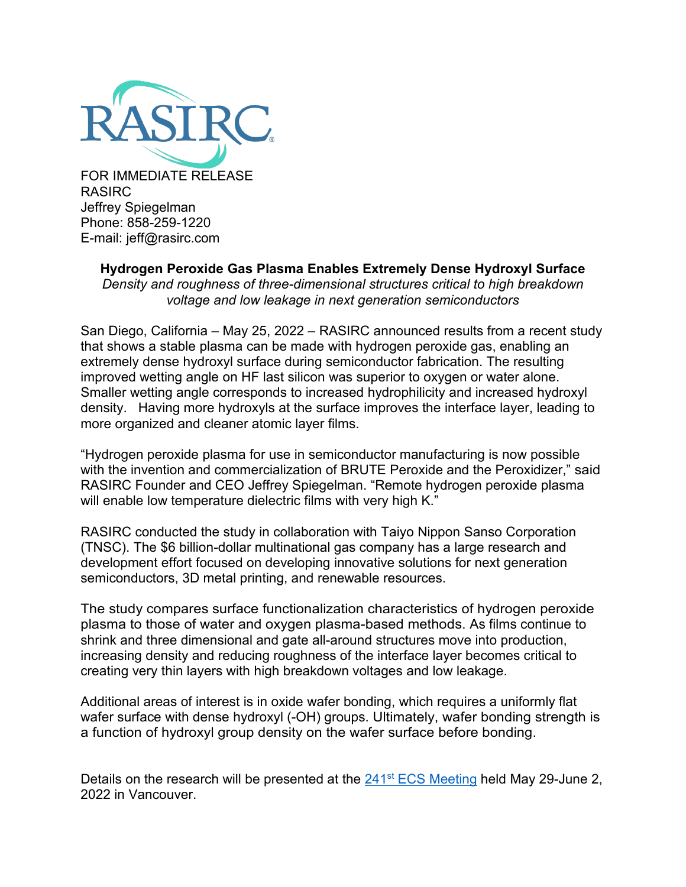

FOR IMMEDIATE RELEASE RASIRC Jeffrey Spiegelman Phone: 858-259-1220 E-mail: jeff@rasirc.com

# **Hydrogen Peroxide Gas Plasma Enables Extremely Dense Hydroxyl Surface**

*Density and roughness of three-dimensional structures critical to high breakdown voltage and low leakage in next generation semiconductors* 

San Diego, California – May 25, 2022 – RASIRC announced results from a recent study that shows a stable plasma can be made with hydrogen peroxide gas, enabling an extremely dense hydroxyl surface during semiconductor fabrication. The resulting improved wetting angle on HF last silicon was superior to oxygen or water alone. Smaller wetting angle corresponds to increased hydrophilicity and increased hydroxyl density. Having more hydroxyls at the surface improves the interface layer, leading to more organized and cleaner atomic layer films.

"Hydrogen peroxide plasma for use in semiconductor manufacturing is now possible with the invention and commercialization of BRUTE Peroxide and the Peroxidizer," said RASIRC Founder and CEO Jeffrey Spiegelman. "Remote hydrogen peroxide plasma will enable low temperature dielectric films with very high K."

RASIRC conducted the study in collaboration with Taiyo Nippon Sanso Corporation (TNSC). The \$6 billion-dollar multinational gas company has a large research and development effort focused on developing innovative solutions for next generation semiconductors, 3D metal printing, and renewable resources.

The study compares surface functionalization characteristics of hydrogen peroxide plasma to those of water and oxygen plasma-based methods. As films continue to shrink and three dimensional and gate all-around structures move into production, increasing density and reducing roughness of the interface layer becomes critical to creating very thin layers with high breakdown voltages and low leakage.

Additional areas of interest is in oxide wafer bonding, which requires a uniformly flat wafer surface with dense hydroxyl (-OH) groups. Ultimately, wafer bonding strength is a function of hydroxyl group density on the wafer surface before bonding.

Details on the research will be presented at the 241<sup>st</sup> [ECS Meeting](https://www.electrochem.org/241/) held May 29-June 2, 2022 in Vancouver.